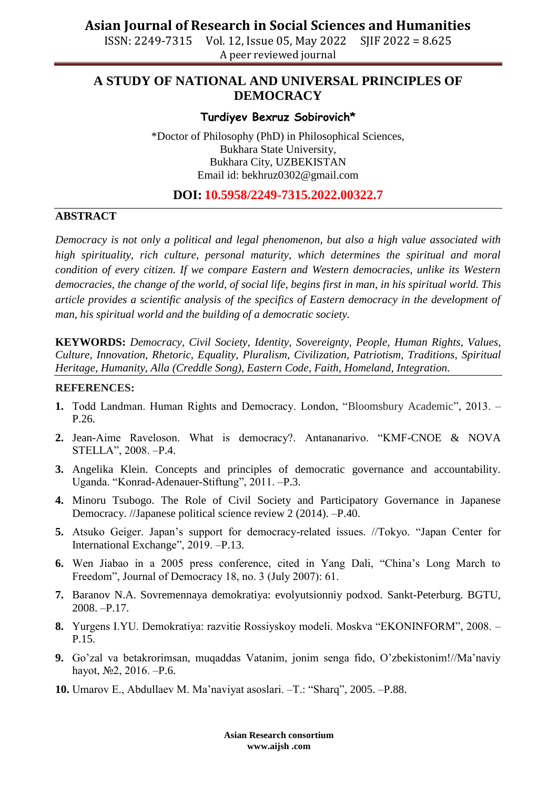ISSN: 2249-7315 Vol. 12, Issue 05, May 2022 SJIF 2022 = 8.625 A peer reviewed journal

# **A STUDY OF NATIONAL AND UNIVERSAL PRINCIPLES OF DEMOCRACY**

### **Turdiyev Bexruz Sobirovich\***

\*Doctor of Philosophy (PhD) in Philosophical Sciences, Bukhara State University, Bukhara City, UZBEKISTAN Email id: [bekhruz0302@gmail.com](mailto:bekhruz0302@gmail.com)

### **DOI: 10.5958/2249-7315.2022.00322.7**

#### **ABSTRACT**

*Democracy is not only a political and legal phenomenon, but also a high value associated with high spirituality, rich culture, personal maturity, which determines the spiritual and moral condition of every citizen. If we compare Eastern and Western democracies, unlike its Western democracies, the change of the world, of social life, begins first in man, in his spiritual world. This article provides a scientific analysis of the specifics of Eastern democracy in the development of man, his spiritual world and the building of a democratic society.*

**KEYWORDS:** *Democracy, Civil Society, Identity, Sovereignty, People, Human Rights, Values, Culture, Innovation, Rhetoric, Equality, Pluralism, Civilization, Patriotism, Traditions, Spiritual Heritage, Humanity, Alla (Creddle Song), Eastern Code, Faith, Homeland, Integration.*

#### **REFERENCES:**

- **1.** Todd Landman. Human Rights and Democracy. London, "Bloomsbury Academic", 2013. P.26.
- **2.** Jean-Aime Raveloson. What is democracy?. Antananarivo. "KMF-CNOE & NOVA STELLA", 2008. –P.4.
- **3.** Angelika Klein. Concepts and principles of democratic governance and accountability. Uganda. "Konrad-Adenauer-Stiftung", 2011. –P.3.
- **4.** Minoru Tsubogo. The Role of Civil Society and Participatory Governance in Japanese Democracy. //Japanese political science review 2 (2014). –P.40.
- **5.** Atsuko Geiger. Japan's support for democracy-related issues. //Tokyo. "Japan Center for International Exchange", 2019. –P.13.
- **6.** Wen Jiabao in a 2005 press conference, cited in Yang Dali, "China's Long March to Freedom", Journal of Democracy 18, no. 3 (July 2007): 61.
- **7.** Baranov N.A. Sovremennaya demokratiya: evolyutsionniy podxod. Sankt-Peterburg. BGTU, 2008. –P.17.
- **8.** Yurgens I.YU. Demokratiya: razvitie Rossiyskoy modeli. Moskva "EKONINFORM", 2008. P.15.
- **9.** Go'zal va betakrorimsan, muqaddas Vatanim, jonim senga fido, O'zbekistonim!//Ma'naviy hayot, №2, 2016. –P.6.
- **10.** Umarov E., Abdullaev M. Ma'naviyat asoslari. –T.: "Sharq", 2005. –P.88.